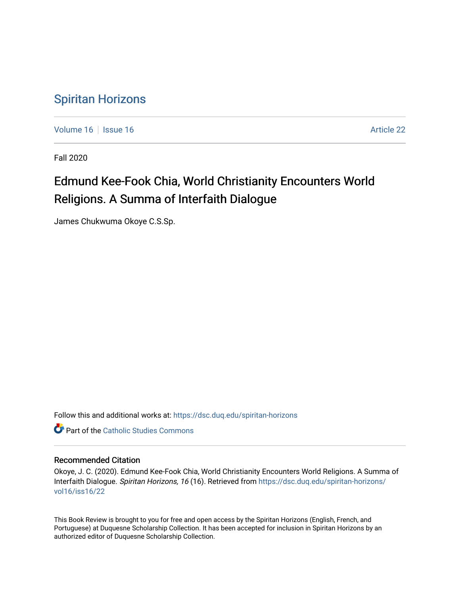## [Spiritan Horizons](https://dsc.duq.edu/spiritan-horizons)

[Volume 16](https://dsc.duq.edu/spiritan-horizons/vol16) September 16 Article 22

Fall 2020

## Edmund Kee-Fook Chia, World Christianity Encounters World Religions. A Summa of Interfaith Dialogue

James Chukwuma Okoye C.S.Sp.

Follow this and additional works at: [https://dsc.duq.edu/spiritan-horizons](https://dsc.duq.edu/spiritan-horizons?utm_source=dsc.duq.edu%2Fspiritan-horizons%2Fvol16%2Fiss16%2F22&utm_medium=PDF&utm_campaign=PDFCoverPages)

**C** Part of the [Catholic Studies Commons](http://network.bepress.com/hgg/discipline/1294?utm_source=dsc.duq.edu%2Fspiritan-horizons%2Fvol16%2Fiss16%2F22&utm_medium=PDF&utm_campaign=PDFCoverPages)

## Recommended Citation

Okoye, J. C. (2020). Edmund Kee-Fook Chia, World Christianity Encounters World Religions. A Summa of Interfaith Dialogue. Spiritan Horizons, 16 (16). Retrieved from [https://dsc.duq.edu/spiritan-horizons/](https://dsc.duq.edu/spiritan-horizons/vol16/iss16/22?utm_source=dsc.duq.edu%2Fspiritan-horizons%2Fvol16%2Fiss16%2F22&utm_medium=PDF&utm_campaign=PDFCoverPages) [vol16/iss16/22](https://dsc.duq.edu/spiritan-horizons/vol16/iss16/22?utm_source=dsc.duq.edu%2Fspiritan-horizons%2Fvol16%2Fiss16%2F22&utm_medium=PDF&utm_campaign=PDFCoverPages) 

This Book Review is brought to you for free and open access by the Spiritan Horizons (English, French, and Portuguese) at Duquesne Scholarship Collection. It has been accepted for inclusion in Spiritan Horizons by an authorized editor of Duquesne Scholarship Collection.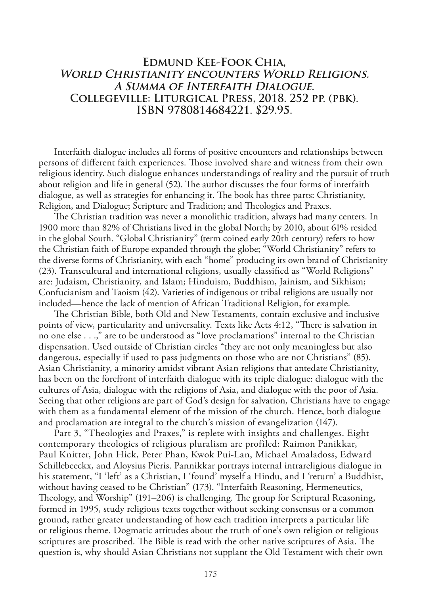## **Edmund Kee-Fook Chia, World Christianity encounters World Religions. A Summa of Interfaith Dialogue. Collegeville: Liturgical Press, 2018. 252 pp. (pbk). ISBN 9780814684221. \$29.95.**

Interfaith dialogue includes all forms of positive encounters and relationships between persons of diferent faith experiences. Tose involved share and witness from their own religious identity. Such dialogue enhances understandings of reality and the pursuit of truth about religion and life in general (52). The author discusses the four forms of interfaith dialogue, as well as strategies for enhancing it. The book has three parts: Christianity, Religion, and Dialogue; Scripture and Tradition; and Theologies and Praxes.

The Christian tradition was never a monolithic tradition, always had many centers. In 1900 more than 82% of Christians lived in the global North; by 2010, about 61% resided in the global South. "Global Christianity" (term coined early 20th century) refers to how the Christian faith of Europe expanded through the globe; "World Christianity" refers to the diverse forms of Christianity, with each "home" producing its own brand of Christianity (23). Transcultural and international religions, usually classifed as "World Religions" are: Judaism, Christianity, and Islam; Hinduism, Buddhism, Jainism, and Sikhism; Confucianism and Taoism (42). Varieties of indigenous or tribal religions are usually not included—hence the lack of mention of African Traditional Religion, for example.

The Christian Bible, both Old and New Testaments, contain exclusive and inclusive points of view, particularity and universality. Texts like Acts 4:12, "There is salvation in no one else . . .," are to be understood as "love proclamations" internal to the Christian dispensation. Used outside of Christian circles "they are not only meaningless but also dangerous, especially if used to pass judgments on those who are not Christians" (85). Asian Christianity, a minority amidst vibrant Asian religions that antedate Christianity, has been on the forefront of interfaith dialogue with its triple dialogue: dialogue with the cultures of Asia, dialogue with the religions of Asia, and dialogue with the poor of Asia. Seeing that other religions are part of God's design for salvation, Christians have to engage with them as a fundamental element of the mission of the church. Hence, both dialogue and proclamation are integral to the church's mission of evangelization (147).

Part 3, "Theologies and Praxes," is replete with insights and challenges. Eight contemporary theologies of religious pluralism are profiled: Raimon Panikkar, Paul Knitter, John Hick, Peter Phan, Kwok Pui-Lan, Michael Amaladoss, Edward Schillebeeckx, and Aloysius Pieris. Pannikkar portrays internal intrareligious dialogue in his statement, "I 'left' as a Christian, I 'found' myself a Hindu, and I 'return' a Buddhist, without having ceased to be Christian" (173). "Interfaith Reasoning, Hermeneutics, Theology, and Worship" (191–206) is challenging. The group for Scriptural Reasoning, formed in 1995, study religious texts together without seeking consensus or a common ground, rather greater understanding of how each tradition interprets a particular life or religious theme. Dogmatic attitudes about the truth of one's own religion or religious scriptures are proscribed. The Bible is read with the other native scriptures of Asia. The question is, why should Asian Christians not supplant the Old Testament with their own